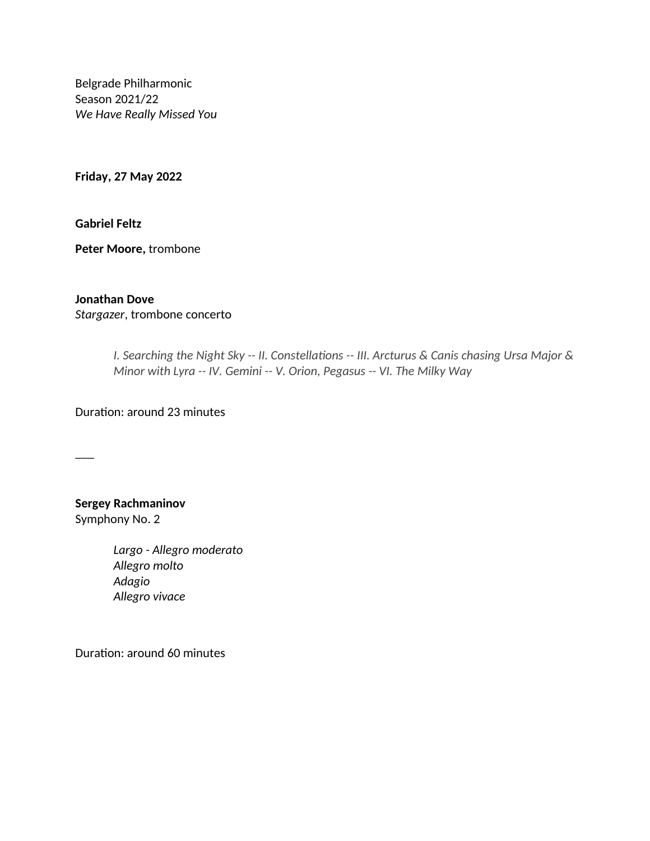Belgrade Philharmonic Season 2021/22 *We Have Really Missed You* 

**Friday, 27 May 2022**

**Gabriel Feltz**

**Peter Moore,** trombone

## **Jonathan Dove**

*Stargazer*, trombone concerto

*I. Searching the Night Sky -- II. Constellations -- III. Arcturus & Canis chasing Ursa Major & Minor with Lyra -- IV. Gemini -- V. Orion, Pegasus -- VI. The Milky Way*

Duration: around 23 minutes

 $\overline{\phantom{a}}$ 

## **Sergey Rachmaninov** Symphony No. 2

*Largo - Allegro moderato Allegro molto Adagio Allegro vivace*

Duration: around 60 minutes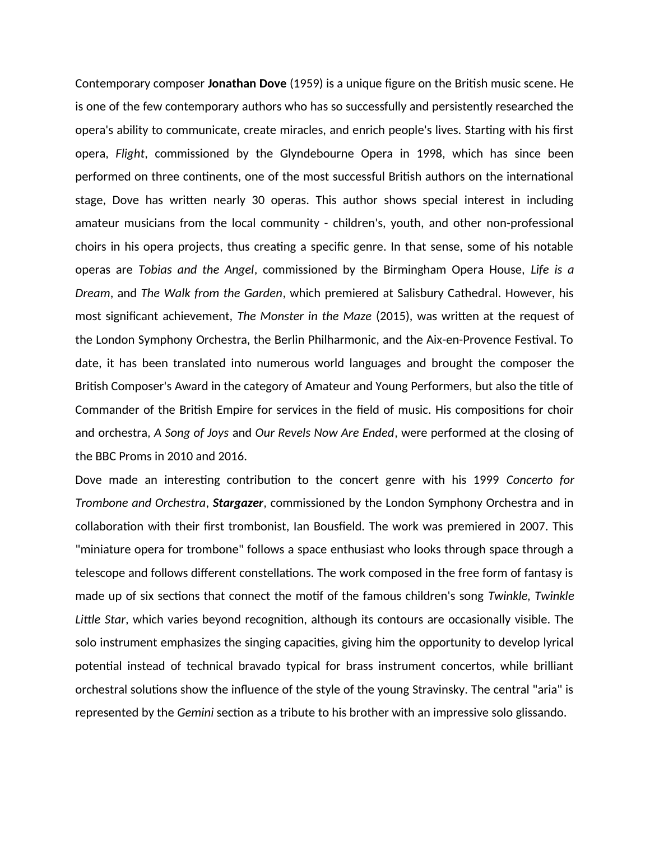Contemporary composer **Jonathan Dove** (1959) is a unique figure on the British music scene. He is one of the few contemporary authors who has so successfully and persistently researched the opera's ability to communicate, create miracles, and enrich people's lives. Starting with his first opera, *Flight*, commissioned by the Glyndebourne Opera in 1998, which has since been performed on three continents, one of the most successful British authors on the international stage, Dove has written nearly 30 operas. This author shows special interest in including amateur musicians from the local community - children's, youth, and other non-professional choirs in his opera projects, thus creating a specific genre. In that sense, some of his notable operas are *Tobias and the Angel*, commissioned by the Birmingham Opera House, *Life is a Dream*, and *The Walk from the Garden*, which premiered at Salisbury Cathedral. However, his most significant achievement, *The Monster in the Maze* (2015), was written at the request of the London Symphony Orchestra, the Berlin Philharmonic, and the Aix-en-Provence Festival. To date, it has been translated into numerous world languages and brought the composer the British Composer's Award in the category of Amateur and Young Performers, but also the title of Commander of the British Empire for services in the field of music. His compositions for choir and orchestra, *A Song of Joys* and *Our Revels Now Are Ended*, were performed at the closing of the BBC Proms in 2010 and 2016.

Dove made an interesting contribution to the concert genre with his 1999 *Concerto for Trombone and Orchestra*, *Stargazer*, commissioned by the London Symphony Orchestra and in collaboration with their first trombonist, Ian Bousfield. The work was premiered in 2007. This "miniature opera for trombone" follows a space enthusiast who looks through space through a telescope and follows different constellations. The work composed in the free form of fantasy is made up of six sections that connect the motif of the famous children's song *Twinkle, Twinkle Little Star*, which varies beyond recognition, although its contours are occasionally visible. The solo instrument emphasizes the singing capacities, giving him the opportunity to develop lyrical potential instead of technical bravado typical for brass instrument concertos, while brilliant orchestral solutions show the influence of the style of the young Stravinsky. The central "aria" is represented by the *Gemini* section as a tribute to his brother with an impressive solo glissando.